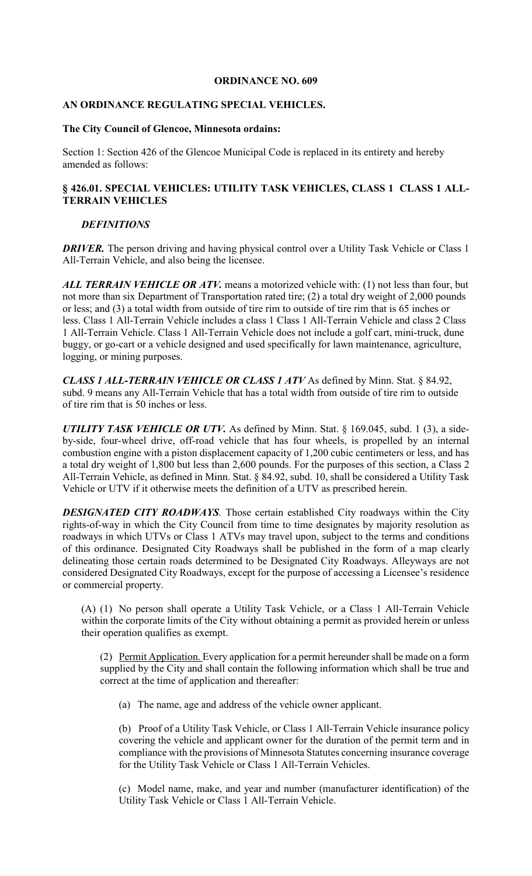### **ORDINANCE NO. 609**

## **AN ORDINANCE REGULATING SPECIAL VEHICLES.**

### **The City Council of Glencoe, Minnesota ordains:**

Section 1: Section 426 of the Glencoe Municipal Code is replaced in its entirety and hereby amended as follows:

# **§ 426.01. SPECIAL VEHICLES: UTILITY TASK VEHICLES, CLASS 1 CLASS 1 ALL-TERRAIN VEHICLES**

## *DEFINITIONS*

*DRIVER*. The person driving and having physical control over a Utility Task Vehicle or Class 1 All-Terrain Vehicle, and also being the licensee.

*ALL TERRAIN VEHICLE OR ATV.* means a motorized vehicle with: (1) not less than four, but not more than six Department of Transportation rated tire; (2) a total dry weight of 2,000 pounds or less; and (3) a total width from outside of tire rim to outside of tire rim that is 65 inches or less. Class 1 All-Terrain Vehicle includes a class 1 Class 1 All-Terrain Vehicle and class 2 Class 1 All-Terrain Vehicle. Class 1 All-Terrain Vehicle does not include a golf cart, mini-truck, dune buggy, or go-cart or a vehicle designed and used specifically for lawn maintenance, agriculture, logging, or mining purposes.

*CLASS 1 ALL-TERRAIN VEHICLE OR CLASS 1 ATV* As defined by Minn. Stat. § 84.92, subd. 9 means any All-Terrain Vehicle that has a total width from outside of tire rim to outside of tire rim that is 50 inches or less.

*UTILITY TASK VEHICLE OR UTV.* As defined by Minn. Stat. § 169.045, subd. 1 (3), a sideby-side, four-wheel drive, off-road vehicle that has four wheels, is propelled by an internal combustion engine with a piston displacement capacity of 1,200 cubic centimeters or less, and has a total dry weight of 1,800 but less than 2,600 pounds. For the purposes of this section, a Class 2 All-Terrain Vehicle, as defined in Minn. Stat. § 84.92, subd. 10, shall be considered a Utility Task Vehicle or UTV if it otherwise meets the definition of a UTV as prescribed herein.

*DESIGNATED CITY ROADWAYS.* Those certain established City roadways within the City rights-of-way in which the City Council from time to time designates by majority resolution as roadways in which UTVs or Class 1 ATVs may travel upon, subject to the terms and conditions of this ordinance. Designated City Roadways shall be published in the form of a map clearly delineating those certain roads determined to be Designated City Roadways. Alleyways are not considered Designated City Roadways, except for the purpose of accessing a Licensee's residence or commercial property.

(A) (1) No person shall operate a Utility Task Vehicle, or a Class 1 All-Terrain Vehicle within the corporate limits of the City without obtaining a permit as provided herein or unless their operation qualifies as exempt.

(2) Permit Application. Every application for a permit hereunder shall be made on a form supplied by the City and shall contain the following information which shall be true and correct at the time of application and thereafter:

(a) The name, age and address of the vehicle owner applicant.

(b) Proof of a Utility Task Vehicle, or Class 1 All-Terrain Vehicle insurance policy covering the vehicle and applicant owner for the duration of the permit term and in compliance with the provisions of Minnesota Statutes concerning insurance coverage for the Utility Task Vehicle or Class 1 All-Terrain Vehicles.

(c) Model name, make, and year and number (manufacturer identification) of the Utility Task Vehicle or Class 1 All-Terrain Vehicle.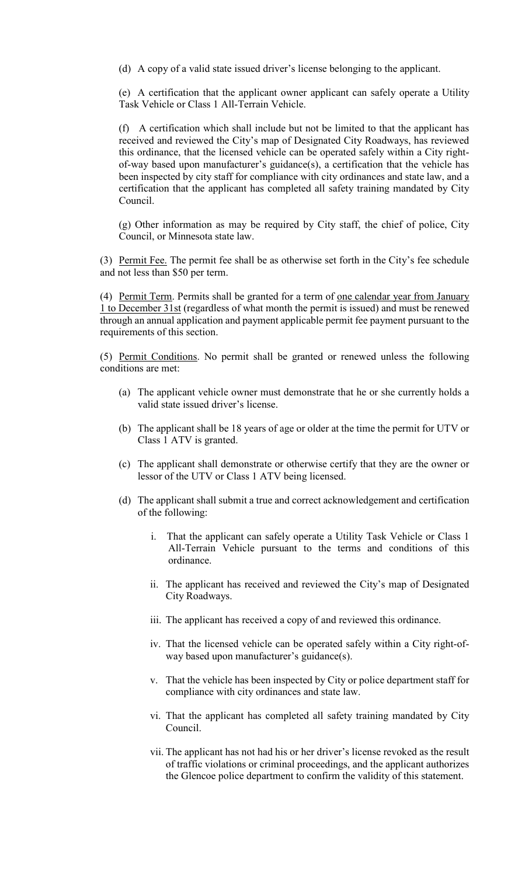(d) A copy of a valid state issued driver's license belonging to the applicant.

(e) A certification that the applicant owner applicant can safely operate a Utility Task Vehicle or Class 1 All-Terrain Vehicle.

(f) A certification which shall include but not be limited to that the applicant has received and reviewed the City's map of Designated City Roadways, has reviewed this ordinance, that the licensed vehicle can be operated safely within a City rightof-way based upon manufacturer's guidance(s), a certification that the vehicle has been inspected by city staff for compliance with city ordinances and state law, and a certification that the applicant has completed all safety training mandated by City Council.

(g) Other information as may be required by City staff, the chief of police, City Council, or Minnesota state law.

(3) Permit Fee. The permit fee shall be as otherwise set forth in the City's fee schedule and not less than \$50 per term.

(4) Permit Term. Permits shall be granted for a term of one calendar year from January 1 to December 31st (regardless of what month the permit is issued) and must be renewed through an annual application and payment applicable permit fee payment pursuant to the requirements of this section.

(5) Permit Conditions. No permit shall be granted or renewed unless the following conditions are met:

- (a) The applicant vehicle owner must demonstrate that he or she currently holds a valid state issued driver's license.
- (b) The applicant shall be 18 years of age or older at the time the permit for UTV or Class 1 ATV is granted.
- (c) The applicant shall demonstrate or otherwise certify that they are the owner or lessor of the UTV or Class 1 ATV being licensed.
- (d) The applicant shall submit a true and correct acknowledgement and certification of the following:
	- i. That the applicant can safely operate a Utility Task Vehicle or Class 1 All-Terrain Vehicle pursuant to the terms and conditions of this ordinance.
	- ii. The applicant has received and reviewed the City's map of Designated City Roadways.
	- iii. The applicant has received a copy of and reviewed this ordinance.
	- iv. That the licensed vehicle can be operated safely within a City right-ofway based upon manufacturer's guidance(s).
	- v. That the vehicle has been inspected by City or police department staff for compliance with city ordinances and state law.
	- vi. That the applicant has completed all safety training mandated by City Council.
	- vii. The applicant has not had his or her driver's license revoked as the result of traffic violations or criminal proceedings, and the applicant authorizes the Glencoe police department to confirm the validity of this statement.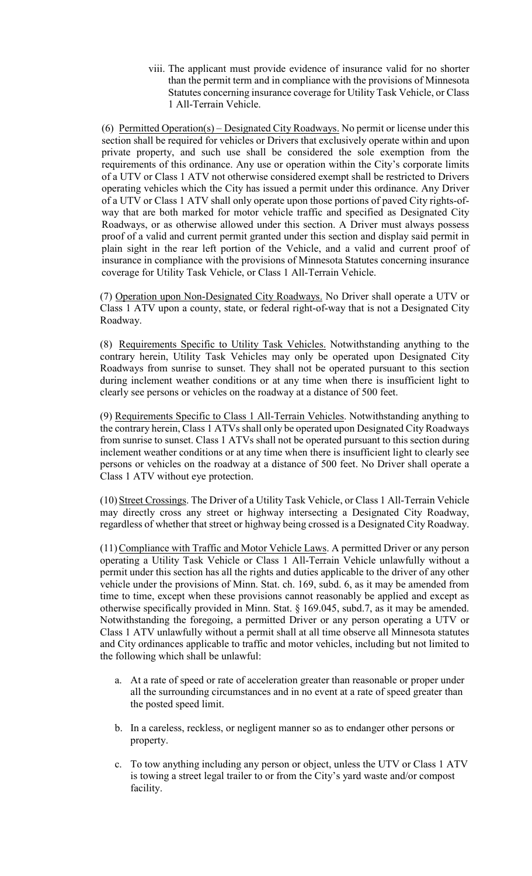viii. The applicant must provide evidence of insurance valid for no shorter than the permit term and in compliance with the provisions of Minnesota Statutes concerning insurance coverage for Utility Task Vehicle, or Class 1 All-Terrain Vehicle.

(6) Permitted Operation(s) – Designated City Roadways. No permit or license under this section shall be required for vehicles or Drivers that exclusively operate within and upon private property, and such use shall be considered the sole exemption from the requirements of this ordinance. Any use or operation within the City's corporate limits of a UTV or Class 1 ATV not otherwise considered exempt shall be restricted to Drivers operating vehicles which the City has issued a permit under this ordinance. Any Driver of a UTV or Class 1 ATV shall only operate upon those portions of paved City rights-ofway that are both marked for motor vehicle traffic and specified as Designated City Roadways, or as otherwise allowed under this section. A Driver must always possess proof of a valid and current permit granted under this section and display said permit in plain sight in the rear left portion of the Vehicle, and a valid and current proof of insurance in compliance with the provisions of Minnesota Statutes concerning insurance coverage for Utility Task Vehicle, or Class 1 All-Terrain Vehicle.

(7) Operation upon Non-Designated City Roadways. No Driver shall operate a UTV or Class 1 ATV upon a county, state, or federal right-of-way that is not a Designated City Roadway.

(8) Requirements Specific to Utility Task Vehicles. Notwithstanding anything to the contrary herein, Utility Task Vehicles may only be operated upon Designated City Roadways from sunrise to sunset. They shall not be operated pursuant to this section during inclement weather conditions or at any time when there is insufficient light to clearly see persons or vehicles on the roadway at a distance of 500 feet.

(9) Requirements Specific to Class 1 All-Terrain Vehicles. Notwithstanding anything to the contrary herein, Class 1 ATVs shall only be operated upon Designated City Roadways from sunrise to sunset. Class 1 ATVs shall not be operated pursuant to this section during inclement weather conditions or at any time when there is insufficient light to clearly see persons or vehicles on the roadway at a distance of 500 feet. No Driver shall operate a Class 1 ATV without eye protection.

 (10) Street Crossings. The Driver of a Utility Task Vehicle, or Class 1 All-Terrain Vehicle may directly cross any street or highway intersecting a Designated City Roadway, regardless of whether that street or highway being crossed is a Designated City Roadway.

 (11) Compliance with Traffic and Motor Vehicle Laws. A permitted Driver or any person operating a Utility Task Vehicle or Class 1 All-Terrain Vehicle unlawfully without a permit under this section has all the rights and duties applicable to the driver of any other vehicle under the provisions of Minn. Stat. ch. 169, subd. 6, as it may be amended from time to time, except when these provisions cannot reasonably be applied and except as otherwise specifically provided in Minn. Stat. § 169.045, subd.7, as it may be amended. Notwithstanding the foregoing, a permitted Driver or any person operating a UTV or Class 1 ATV unlawfully without a permit shall at all time observe all Minnesota statutes and City ordinances applicable to traffic and motor vehicles, including but not limited to the following which shall be unlawful:

- a. At a rate of speed or rate of acceleration greater than reasonable or proper under all the surrounding circumstances and in no event at a rate of speed greater than the posted speed limit.
- b. In a careless, reckless, or negligent manner so as to endanger other persons or property.
- c. To tow anything including any person or object, unless the UTV or Class 1 ATV is towing a street legal trailer to or from the City's yard waste and/or compost facility.